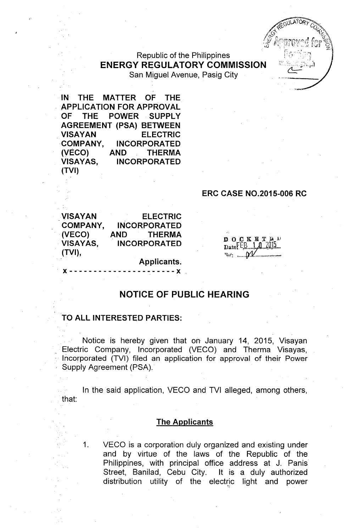# Republic of the Philippines **ENERGY REGULATORY COMMISSION** San Miguel Avenue, Pasig City

**IN THE MATTER OF THE , APPLICATION FOR APPROVAL OF THE POWER SUPPLY AGREEMENT (PSA) BETWEEN VISAYAN ELECTRIC** 'COMPANY, **INCORPORATED (VECO) AND THERMA VISAYAS, INCORPORATED (TVI)**

### **ERC CASE NO.2015-006 RC**

**VISAYAN COMPANY, (VECO) , VISAYAS, (TVI), ELECTRIC INCORPORATED AND THERMA INCORPORATED**

DOCKETED  $_{\text{Date}}$ FEB  $1$   $1$   $2015$  $w_1$  .  $M$ 

#### **Applicants.** , x - - - - - - - - - - - - - - - - -.- - -- - x ,

# **NOTICE OF PUBLIC HEARING**

### **TO ALL INTERESTED PARTIES:**

Notice is hereby given that on January 14, 2015, Visayan Electric Company, Incorporated (VECO) and Therma Visayas, Incorporated (TVI) filed an application for approval of their Power Supply Agreement (PSA).

In the said application, VECO and TVI alleged, among others, that:

#### **The Applicants**

1. VECO is a corporation duly organized and existing under and by virtue of the laws of the Republic of the Philippines, with principal office address at J. Panis Street, Banilad, Cebu City. It is a duly authorized distribution utility of the electric light and power y~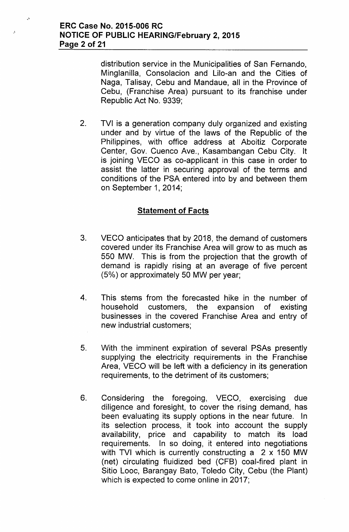.'

distribution service in the Municipalities of San Fernando, Minglanilla, Consolacion and Lilo-an and the Cities of Naga, Talisay, Cebu and Mandaue, all in the Province of Cebu, (Franchise Area) pursuant to its franchise under Republic Act No. 9339;

2. TVI is a generation company duly organized and existing under and by virtue of the laws of the Republic of the Philippines, with office address at Aboitiz Corporate Center, Gov. Cuenco Ave., Kasambangan Cebu City. It is joining VECO as co-applicant in this case in order to assist the latter in securing approval of the terms and conditions of the PSA entered into by and between them on September 1, 2014;

# **Statement of Facts**

- 3. VECO anticipates that by 2018, the demand of customers covered under its Franchise Area will grow to as much as 550 MW. This is from the projection that the growth of demand is rapidly rising at an average of five percent (5% ) or approximately 50 MW per year;
- 4. This stems from the forecasted hike in the number of household customers, the expansion of existing businesses in the covered Franchise Area and entry of new industrial customers;
- 5. With the imminent expiration of several PSAs presently supplying the electricity requirements in the Franchise Area, VECO will be left with a deficiency in its generation requirements, to the detriment of its customers;
- 6. Considering the foregoing, VECO, exercising due diligence and foresight, to cover the rising demand, has been evaluating its supply options in the near future. In its selection process, it took into account the supply availability, price and capability to match its load requirements. In so doing, it entered into negotiations with TVI which is currently constructing a 2 x 150 MW (net) circulating fluidized bed (CFB) coal-fired plant in Sitio Looc, Barangay Bato, Toledo City, Cebu (the Plant) which is expected to come online in 2017;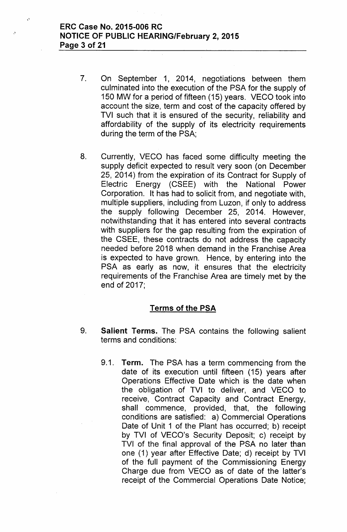# ERC Case No. 2015-006 RC NOTICE OF PUBLIC HEARING/February 2, 2015 Page 3 of 21

 $\rightarrow$ 

- 7. On September 1, 2014, negotiations between them culminated into the execution of the PSA for the supply of 150 MW for a period of fifteen (15) years. VECO took into account the size, term and cost of the capacity offered by TVI such that it is ensured of the security, reliability and affordability of the supply of its electricity requirements during the term of the PSA;
- 8. Currently, VECO has faced some difficulty meeting the supply deficit expected to result very soon (on December 25, 2014) from the expiration of its Contract for Supply of Electric Energy (CSEE) with the National Power Corporation. It has had to solicit from, and negotiate with, multiple suppliers, including from Luzon, if only to address the supply following December 25, 2014. However, notwithstanding that it has entered into several contracts with suppliers for the gap resulting from the expiration of the CSEE, these contracts do not address the capacity needed before 2018 when demand in the Franchise Area is expected to have grown. Hence, by entering into the PSA as early as now, it ensures that the electricity requirements of the Franchise Area are timely met by the end of 2017;

# Terms of the PSA

- 9. Salient Terms. The PSA contains the following salient terms and conditions:
	- 9.1. Term. The PSA has a term commencing from the date of its execution until fifteen (15) years after Operations Effective Date which is the date when the obligation of TVI to deliver, and VECO to receive, Contract Capacity and Contract Energy, shall commence, provided, that, the following conditions are satisfied: a) Commercial Operations Date of Unit 1 of the Plant has occurred; b) receipt by TVI of VECO's Security Deposit; c) receipt by TVI of the final approval of the PSA no later than one (1) year after Effective Date; d) receipt by TVI of the full payment of the Commissioning Energy Charge due from VECO as of date of the latter's receipt of the Commercial Operations Date Notice;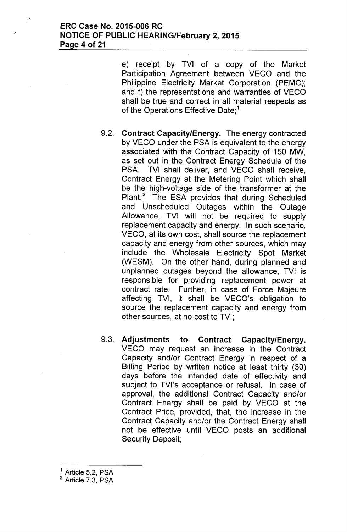e) receipt by TVI of a copy of the Market Participation Agreement between VECO and the Philippine Electricity Market Corporation (PEMC); and f) the representations and warranties of VECO shall be true and correct in all material respects as of the Operations Effective Date;<sup>1</sup>

- 9.2. **Contract Capacity/Energy.** The energy contracted by VECO under the PSA is equivalent to the energy associated with the Contract Capacity of 150 MW, as set out in the Contract Energy Schedule of the PSA. TVI shall deliver, and VECO shall receive, Contract Energy at the Metering Point which shall be the high-voltage side of the transformer at the Plant.<sup>2</sup> The ESA provides that during Scheduled and Unscheduled Outages within the Outage Allowance, TVI will not be required to supply replacement capacity and energy. In such scenario, VECO, at its own cost, shall source the replacement capacity and energy from other sources, which may include the Wholesale Electricity Spot Market (WESM). On the other hand, during planned and unplanned outages beyond the allowance, TVI is responsible for providing replacement power at contract rate. Further, in case of Force Majeure affecting TVI, it shall be VECO's obligation to source the replacement capacity and energy from other sources, at no cost to TVI;
- 9.3. **Adjustments to Contract Capacity/Energy.** VECO may request an increase in the Contract Capacity and/or Contract Energy in respect of a Billing Period by written notice at least thirty (30) days before the intended date of effectivity and subject to TVI's acceptance or refusal. In case of approval, the additional Contract Capacity and/or Contract Energy shall be paid by VECO at the Contract Price, provided, that, the increase in the Contract Capacity and/or the Contract Energy shall not be effective until VECO posts an additional Security Deposit;

<sup>&</sup>lt;sup>1</sup> Article 5.2, PSA

<sup>&</sup>lt;sup>2</sup> Article 7.3, PSA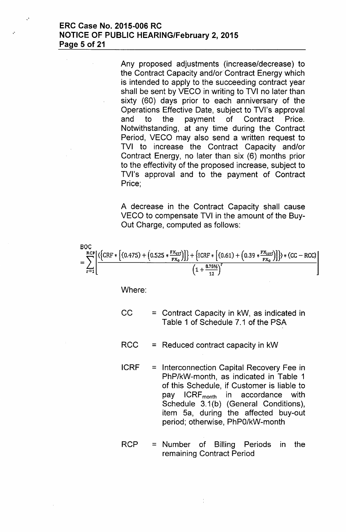Any proposed adjustments (increase/decrease) to the Contract Capacity and/or' Contract Energy which is intended to apply to the succeeding contract year shall be sent by VECO in writing to TVI no later than sixty (60) days prior to each anniversary of the Operations Effective Date, subject to TVl's approval and to the payment of Contract Price. Notwithstanding, at any time during the Contract Period, VECO may also send a written request to TVI to increase the Contract Capacity and/or Contract Energy, no later than six (6) months prior to the effectivity of the proposed increase, subject to TVl's approval and to the payment of Contract Price;

A decrease in the Contract Capacity shall cause VECO to compensate TVI in the amount of the Buy-Out Charge, computed as follows:

BOC  
=
$$
\sum_{r=1}^{RCP} \left[ \frac{\left( \left\{ CRF * \left[ (0.475) + (0.525 * \frac{FX_{\text{crf}}}{FX_0}) \right] \right\} + \left\{ iCRF * \left[ (0.61) + (0.39 * \frac{FX_{\text{icrf}}}{FX_0}) \right] \right\} \right) * (CC - RCC)}{\left( 1 + \frac{875\%}{12} \right)^r} \right]
$$

Where:

- $CC =$  = Contract Capacity in kW, as indicated in Table 1 of Schedule 7.1 of the PSA
- $RCC = Reduced contract capacity in kW$
- ICRF = Interconnection Capital Recovery Fee in PhP/kW-month, as indicated in Table 1 of this Schedule, if Customer is liable to pay ICRF<sub>month</sub> in accordance with Schedule 3.1(b) (General Conditions), item Sa, during the affected buy-out period; otherwise, PhPO/kW-month
- $RCP =$  Number of Billing Periods in the remaining Contract Period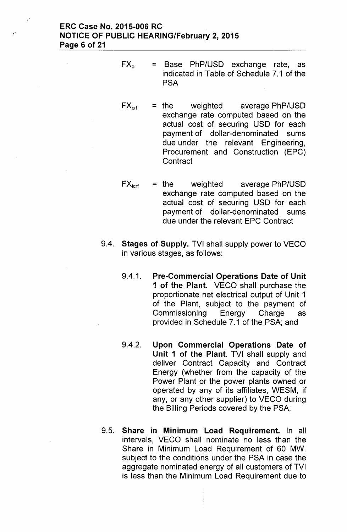# ERC Case No. 2015-006 RC NOTICE OF PUBLIC HEARING/February 2, 2015 Page 6 of 21

- $FX<sub>o</sub>$  = Base PhP/USD exchange rate, as indicated in Table of Schedule 7.1 of the **PSA**
- $FX_{\text{crf}}$  = the weighted average PhP/USD exchange rate computed based on the actual cost of securing USD for each payment of dollar-denominated sums due under the relevant Engineering, Procurement and Construction (EPC) **Contract**
- $FX_{\text{icrf}}$  = the weighted average PhP/USD exchange rate computed based on the actual cost of securing USD for each payment of dollar-denominated sums due under the relevant EPC Contract
- 9.4. Stages of Supply. TVI shall supply power to VECO in various stages, as follows:
	- 9.4.1. Pre-Commercial Operations Date of Unit 1 of the Plant. VECO shall purchase the proportionate net electrical output of Unit 1 of the Plant, subject to the payment of Commissioning Energy Charge as provided in Schedule 7.1 of the PSA; and
	- 9.4.2. Upon Commercial Operations Date of Unit 1 of the Plant. TVI shall supply and deliver Contract Capacity and Contract Energy (whether from the capacity of the Power Plant or the power plants owned or operated by any of its affiliates, WESM, if any, or any other supplier) to VECO during the Billing Periods covered by the PSA;
- 9.5. Share in Minimum Load Requirement. In all intervals, VECO shall nominate no less than the Share in Minimum Load Requirement of 60 MW, subject to the conditions under the PSA in case the aggregate nominated energy of all customers of TVI is less than the Minimum Load Requirement due to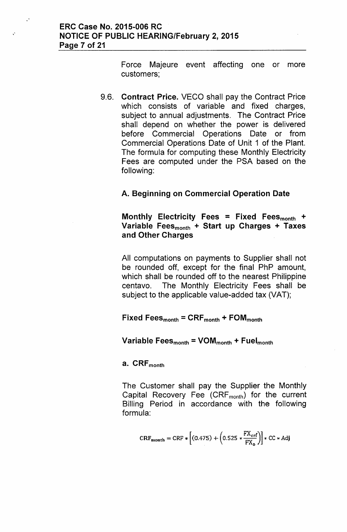$\ddot{\phantom{a}}$ 

Force Majeure event affecting one or more customers;

9.6. Contract Price. VECO shall pay the Contract Price which consists of variable and fixed charges, subject to annual adjustments. The Contract Price shall depend on whether the power is delivered before Commercial Operations Date or from Commercial Operations Date of Unit 1 of the Plant. The formula for computing these Monthly Electricity Fees are computed under the PSA based on the following:

# A. Beginning on Commercial Operation Date

Monthly Electricity Fees = Fixed Fees $_{\text{month}}$  + Variable Fees $_{\text{month}}$  + Start up Charges + Taxes and Other Charges

All computations on payments to Supplier shall not be rounded off, except for the final PhP amount, which shall be rounded off to the nearest Philippine centavo. The Monthly Electricity Fees shall be subject to the applicable value-added tax (VAT);

Fixed Fees $_{\text{month}}$  = CRF $_{\text{month}}$  + FOM $_{\text{month}}$ 

### Variable Fees $_{\text{month}}$  = VOM $_{\text{month}}$  + Fuel $_{\text{month}}$

# a. CRF<sub>month</sub>

The Customer shall pay the Supplier the Monthly Capital Recovery Fee  $(CRF_{month})$  for the current Billing Period in accordance with the following formula:

$$
CRF_{\text{month}} = CRF * \left[ (0.475) + (0.525 * \frac{FX_{\text{erf}}}{FX_{\text{o}}}) \right] * CC * Adj
$$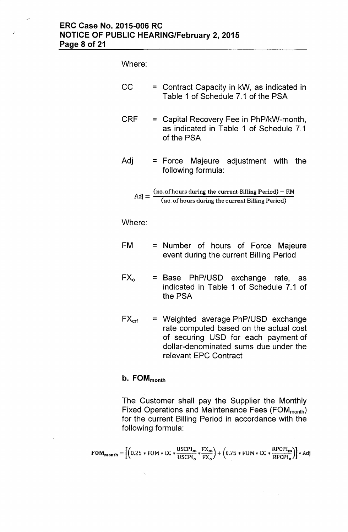# ERC Case No. 2015-006 RC NOTICE OF PUBLIC HEARING/February 2, 2015 Page 8 of 21

Where:

"

- $CC =$  = Contract Capacity in kW, as indicated in Table 1 of Schedule 7.1 of the PSA
- CRF = Capital Recovery Fee in PhP/kW-month, as indicated in Table 1 of Schedule 7.1 of the PSA

Adj = Force Majeure adjustment with the following formula:\n\n
$$
\begin{bmatrix}\n 1 & 0 & 0 \\
0 & 1 & 0 \\
0 & 0 & 0\n \end{bmatrix}
$$

$$
Adj = \frac{(no. of hours during the current Billing Period) - FM}{(no. of hours during the current Billing Period)}
$$

Where:

- FM = Number of hours of Force Majeure event during the current Billing Period
- $FX_0$  = Base PhP/USD exchange rate, as indicated in Table 1 of Schedule 7.1 of the PSA
- $FX_{\text{crf}}$  = Weighted average PhP/USD exchange rate computed based on the actual cost of securing USD for each payment of dollar-denominated sums due under the relevant EPC Contract

### $b.$  FOM $_{\text{month}}$

The Customer shall pay the Supplier the Monthly Fixed Operations and Maintenance Fees (FOM<sub>month</sub>) for the current Billing Period in accordance with the following formula:

$$
\text{FOM}_{\text{month}} = \left[ \left( 0.25 * \text{FOM} * \text{CC} * \frac{\text{USCPI}_{\text{m}}}{\text{USCPI}_{\text{o}}} * \frac{\text{FX}_{\text{m}}}{\text{FX}_{\text{o}}} \right) + \left( 0.75 * \text{FOM} * \text{CC} * \frac{\text{RPCPI}_{\text{m}}}{\text{RPCPI}_{\text{o}}} \right) \right] * \text{Adj}
$$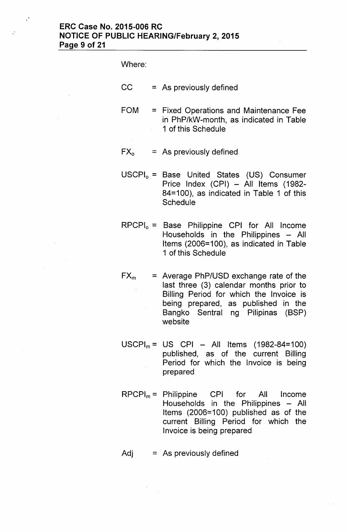# **ERC Case No. 2015-006 RC NOTICE OF PUBLIC HEARING/February 2, 2015 Page 9 of 21**

Where:

- $CC = As previously defined$
- FOM = Fixed Operations and Maintenance Fee in PhP/kW-month, as indicated in Table 1 of this Schedule
- $FX<sub>o</sub>$  = As previously defined
- $USCH<sub>o</sub> = Base United States (US) Consumer$ Price Index (CPI) - All Items (1982-84=100), as indicated in Table 1 of this **Schedule**
- $RPCPI<sub>o</sub> = Base Philippe CPI for All Income$ Households in the Philippines  $-$  All Items (2006=100), as indicated in Table 1 of this Schedule
- $FX_m$  = Average PhP/USD exchange rate of the last three (3) calendar months prior to Billing Period for which the Invoice is being prepared, as published in the Bangko Sentral ng Pilipinas (BSP) website
- $USCPI_m = US CPI All items (1982-84=100)$ published, as of the current Billing Period for which the Invoice is being prepared
- $RPCPI_m =$  Philippine CPI for All Income Households in the Philippines  $-$  All Items (2006=100) published as of the current Billing Period for which the Invoice is being prepared
- $Adj = As previously defined$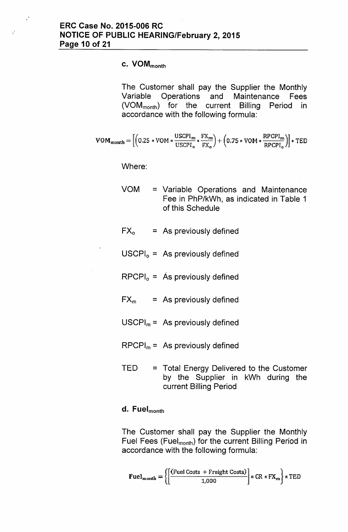$\mathcal{L}^{\bullet}$ 

# c. VOM<sub>month</sub>

The Customer shall pay the Supplier the Monthly Variable Operations and Maintenance Fees (VOMmonth) for the current Billing Period in accordance with the following formula:

$$
\text{VOM}_{\text{month}} = \left[\left(0.25*\text{VOM}*\frac{\text{USCPI}_{\text{m}}}{\text{USCPI}_{\text{o}}}*\frac{\text{FX}_{\text{m}}}{\text{FX}_{\text{o}}}\right) + \left(0.75*\text{VOM}*\frac{\text{RPCPI}_{\text{m}}}{\text{RPCPI}_{\text{o}}}\right)\right]*\text{TED}
$$

Where:

- VOM = Variable Operations and Maintenance Fee in PhP/kWh, as indicated in Table 1 of this Schedule
- $FX_0 = As$  previously defined
- $USCPI<sub>o</sub> = As previously defined$
- $RPCPI_0 = A$ s previously defined
- $FX_m$  = As previously defined
- $USCPI_m = As$  previously defined
- $RPCPI_m =$  As previously defined
- TED = Total Energy Delivered to the Customer by the Supplier in kWh during the current Billing Period

#### d. Fuel<sub>month</sub>

The Customer shall pay the Supplier the Monthly Fuel Fees (Fuel<sub>month</sub>) for the current Billing Period in accordance with the following formula:

$$
\mathbf{Fuel}_{\text{month}} = \left\{ \left[ \frac{\text{(Fuel Costs + Freight Costs)}}{1,000} \right] * \text{CR} * \text{FX}_{\text{rn}} \right\} * \text{TED}
$$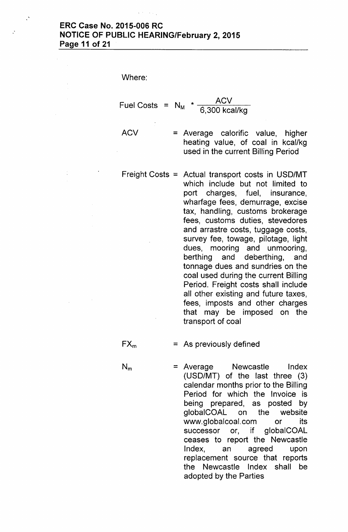# **ERC Case No. 2015-006 RC NOTICE OF PUBLIC HEARING/February 2, 2015 Page 11 of 21**

Where:

Fuel Costs  $= N_M$  $*$   $\overline{AUV}$ 6,300 kcal/kg

**ACV** 

= Average calorific value, higher heating value, of coal in kcal/kg used in the current Billing Period

Freight Costs = Actual transport costs in USD/MT which include but not limited to port charges, fuel, insurance, wharfage fees, demurrage, excise tax, handling, customs brokerage fees, customs duties, stevedores and arrastre costs, tuggage costs, survey fee, towage, pilotage, light dues, mooring and unmooring, berthing and deberthing, and tonnage dues and sundries on the coal used during the current Billing Period. Freight costs shall include all other existing and future taxes, fees, imposts and other charges that may be imposed on the transport of coal

 $FX_m$  = As previously defined

 $N_m$  = Average Newcastle Index (USD/MT) of the last three (3) calendar months prior to the Billing Period for which the Invoice is being prepared, as posted by globalCOAL on the website [www.globalcoal.com](http://www.globalcoal.com) or its successor or, if globalCOAL ceases to report the Newcastle Index, an agreed upon replacement source that reports the Newcastle Index shall be adopted by the Parties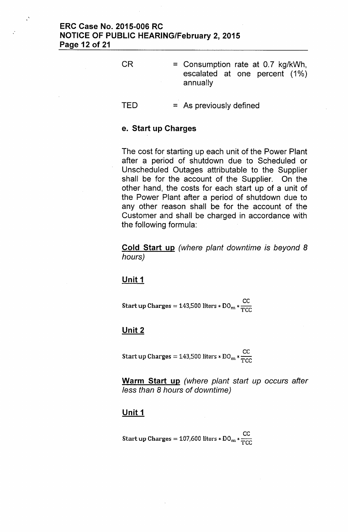# ERC Case No. 2015-006 RC NOTICE OF PUBLIC HEARING/February 2, 2015 Page 12 of 21

 $\mathcal{L}^{\mathbf{A}}$ 

CR = Consumption rate at 0.7 kg/kWh, escalated at one percent (1%) annually

 $TED = As previously defined$ 

### e. Start up Charges

The cost for starting up each unit of the Power Plant after a period of shutdown due to Scheduled or Unscheduled Outages attributable to the Supplier shall be for the account of the Supplier. On the other hand, the costs for each start up of a unit of the Power Plant after a period of shutdown due to any other reason shall be for the account of the Customer and shall be charged in accordance with the following formula:

Cold Start up *(where plant downtime is beyond 8 hours)*

#### Unit 1

ce Start up Charges = 143,500 liters  $*$  DO<sub>m</sub> $*$  $\frac{C}{TCC}$ 

#### Unit 2

ce Start up Charges = 143,500 liters  $*$  DO<sub>m</sub>  $*$  $\frac{300}{T}$ 

Warm Start up *(where plant start up occurs after* less *than* 8 *hours* of *downtime)*

#### Unit 1

**CC** Start up Charges = 107,600 liters  $*D0_m * \frac{30}{TCC}$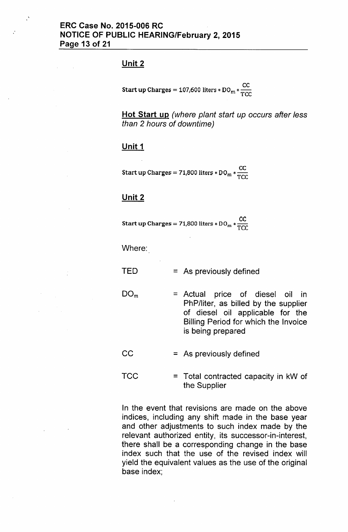### Unit 2

 $\mathcal{L}$ 

ce **Start up Charges = 107,600 liters \* DO<sub>m</sub> \***  $\frac{00}{\text{TCC}}$ 

Hot Start up *(where plant start up occurs after* less *than* 2 *hours* of *downtime)*

### Unit 1

Start up Charges: = 71,800 liters \* DO<sub>m</sub> \*  $\frac{CC}{TCC}$ 

### Unit 2

Start up Charges: = 71,800 liters \* DO<sub>m</sub> \*  $\frac{CC}{TCC}$ 

Where:

 $TED = As previously defined$ 

 $DO<sub>m</sub>$  = Actual price of diesel oil in PhP/liter, as billed by the supplier of diesel oil applicable for the Billing Period for which the Invoice is being prepared

 $CC = As previously defined$ 

 $TCC = Total contracted capacity in kW of$ the Supplier

In the event that revisions are made on the above indices, including any shift made in the base year and other adjustments to such index made by the relevant authorized entity, its successor-in-interest, there shall be a corresponding change in the base index such that the use of the revised index will yield the equivalent values as the use of the original base index;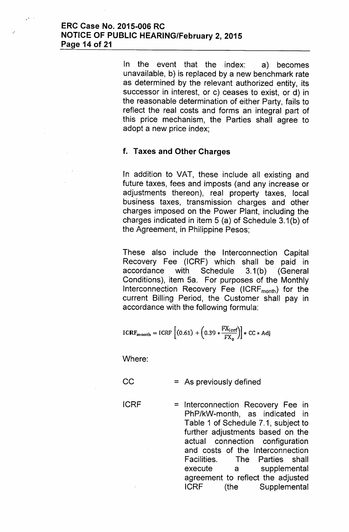.'

In the event that the index: a) becomes unavailable, b) is replaced by a new benchmark rate as determined by the relevant authorized entity, its successor in interest, or c) ceases to exist, or d) in the reasonable determination of either Party, fails to reflect the real costs and forms an integral part of this price mechanism, the Parties shall agree to adopt a new price index;

# f. Taxes and Other Charges

In addition to VAT, these include all existing and future taxes, fees and imposts (and any increase or adjustments thereon), real property taxes, local business taxes, transmission charges and other charges imposed on the Power Plant, including the charges indicated in item 5 (a) of Schedule 3.1(b) of the Agreement, in Philippine Pesos;

These also include the Interconnection Capital Recovery Fee (ICRF) which shall be paid in accordance with Schedule 3.1(b) (General Conditions), item 5a. For purposes of the Monthly Interconnection Recovery Fee  $(ICRF_{month})$  for the current Billing Period, the Customer shall pay in accordance with the following formula:

$$
ICRF_{month} = ICRF\left[ (0.61) + (0.39 * \frac{FX_{icrf}}{FX_o}) \right] * CC * Adj
$$

Where:

- $CC = As previously defined$
- ICRF = Interconnection Recovery Fee in PhP/kW-month, as indicated in Table 1 of Schedule 7.1, subject to further adjustments based on the actual connection configuration and costs of the Interconnection Facilities. The Parties shall execute a supplemental agreement to reflect the adjusted IGRF (the Supplemental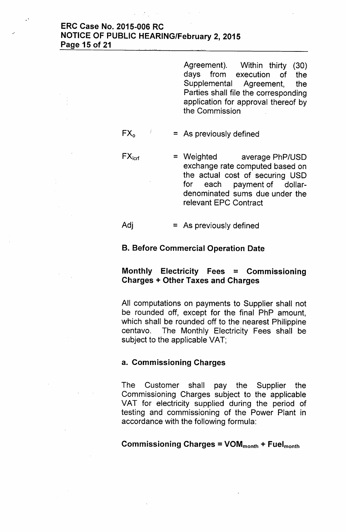## ERC Case No. 2015-006 RC NOTICE OF PUBLIC HEARING/February 2, 2015 Page 15 of 21

.'

Agreement). Within thirty (30) days from execution of the Supplemental Agreement, the Parties shall file the corresponding application for approval thereof by the Commission

# $FX_0$  = As previously defined

 $FX<sub>icrf</sub>$  = Weighted average PhP/USD exchange rate computed based on the actual cost of securing USD for each payment of dollardenominated sums due under the relevant EPC Contract

 $\mathsf{Adj}$  = As previously defined

### B. Before Commercial Operation Date

# Monthly Electricity Fees = Commissioning Charges + Other Taxes and Charges

All computations on payments to Supplier shall not be rounded off, except for the final PhP amount, which shall be rounded off to the nearest Philippine centavo. The Monthly Electricity Fees shall be subject to the applicable VAT;

### a. Commissioning Charges

The Customer shall pay the Supplier the Commissioning Charges subject to the applicable VAT for electricity supplied during the period of testing and commissioning of the Power Plant in accordance with the following formula:

Commissioning Charges =  $VOM_{month} + Fuel_{month}$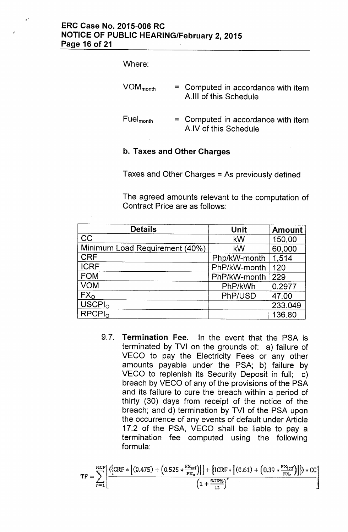### Where:

"

| $\mathsf{VOM}_\mathsf{month}$ . | = Computed in accordance with item<br>A.III of this Schedule  |
|---------------------------------|---------------------------------------------------------------|
| $\mathsf{Fuel}_\mathsf{month}$  | $=$ Computed in accordance with item<br>A.IV of this Schedule |

# b. Taxes and Other Charges

Taxes and Other Charges = As previously defined

The agreed amounts relevant to the computation of Contract Price are as follows:

| <b>Details</b>                 | <b>Unit</b>  | <b>Amount</b> |
|--------------------------------|--------------|---------------|
| <b>CC</b>                      | kW           | 150,00        |
| Minimum Load Requirement (40%) | kW           | 60,000        |
| <b>CRF</b>                     | Php/kW-month | 1,514         |
| <b>ICRF</b>                    | PhP/kW-month | 120           |
| <b>FOM</b>                     | PhP/kW-month | 229           |
| <b>VOM</b>                     | PhP/kWh      | 0.2977        |
| FX <sub>o</sub>                | PhP/USD      | 47.00         |
| USCPI <sub>o</sub>             |              | 233.049       |
| RPCPI <sub>0</sub>             |              | 136.80        |

9.7. Termination Fee. In the event that the PSA is terminated by TVI on the grounds of: a) failure of VECO to pay the Electricity Fees or any other amounts payable under the PSA; b) failure by VECO to replenish its Security Deposit in full; c) breach by VECO of any of the provisions of the PSA and its failure to cure the breach within a period of thirty (30) days from receipt of the notice of the breach; and d) termination by TVI of the PSA upon the occurrence of any events of default under Article 17.2 of the PSA, VECO shall be liable to pay a termination fee computed using the following formula:

$$
TF = \sum_{r=1}^{RCP} \left[ \frac{\left\{ (RF * \left[ (0.475) + (0.525 * \frac{FX_{\text{crf}}}{FX_0}) \right] \right\} + \left\{ ICRF * \left[ (0.61) + (0.39 * \frac{FX_{\text{crf}}}{FX_0}) \right] \right\} \right) * CC}{\left( 1 + \frac{8.75\%}{12} \right)^r} \right]
$$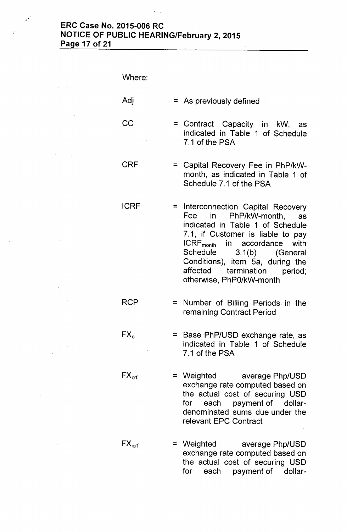#### ERC Case No. 2015-006 RC NOTICE OF PUBLIC HEARING/February 2, 2015 Page 17 of 21

 $\mathcal{A} = \{ \mathbf{v}_1, \mathbf{v}_2, \mathbf{v}_3, \mathbf{v}_4 \}$ 

.'

 $\mathcal{L}$ 

 $\frac{1}{4}$ 

 $\mathcal{A} \in \mathcal{A}$  .  $\sim$   $\sim$ 

| Where:          |                                                                                                                                                                                                                                                                                                                      |
|-----------------|----------------------------------------------------------------------------------------------------------------------------------------------------------------------------------------------------------------------------------------------------------------------------------------------------------------------|
| Adj             | $=$ As previously defined                                                                                                                                                                                                                                                                                            |
| CC              | = Contract Capacity in kW, as<br>indicated in Table 1 of Schedule<br>7.1 of the PSA                                                                                                                                                                                                                                  |
| CRF             | = Capital Recovery Fee in PhP/kW-<br>month, as indicated in Table 1 of<br>Schedule 7.1 of the PSA                                                                                                                                                                                                                    |
| <b>ICRF</b>     | = Interconnection Capital Recovery<br>Fee in PhP/kW-month,<br>as<br>indicated in Table 1 of Schedule<br>7.1, if Customer is liable to pay<br>ICRF <sub>month</sub> in accordance with<br>Schedule 3.1(b) (General<br>Conditions), item 5a, during the<br>affected<br>termination period;<br>otherwise, PhP0/kW-month |
| RCP             | = Number of Billing Periods in the<br>remaining Contract Period                                                                                                                                                                                                                                                      |
| $FX_{o}$        | = Base PhP/USD exchange rate, as<br>indicated in Table 1 of Schedule<br>7.1 of the PSA                                                                                                                                                                                                                               |
| $FX_{\rm{ref}}$ | = Weighted average Php/USD<br>exchange rate computed based on<br>the actual cost of securing USD<br>each payment of dollar-<br>for<br>denominated sums due under the<br>relevant EPC Contract                                                                                                                        |
|                 |                                                                                                                                                                                                                                                                                                                      |

 $FX<sub>icrf</sub>$  = Weighted average Php/USD exchange rate computed based on the actual cost of securing USD for each payment of dollar-

 $\mathcal{L}^{\mathcal{L}}$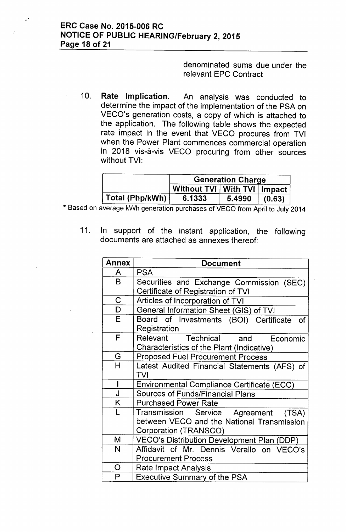$\mathbf{a}^{\mathcal{A}}$ 

 $\bar{z}$ 

denominated sums due under the relevant EPC Contract

10. Rate Implication. An analysis was conducted to determine the impact of the implementation of the PSA on VECO's generation costs, a copy of which is attached to the application. The following table shows the expected rate impact in the event that VECO procures from TVI when the Power Plant commences commercial operation in 2018 vis-a-vis VECO procuring from other sources without TVI:

|                 | <b>Generation Charge</b>        |        |        |
|-----------------|---------------------------------|--------|--------|
|                 | Without TVI   With TVI   Impact |        |        |
| Total (Php/kWh) | 6.1333                          | 5.4990 | (0.63) |

\* Based on average kWh generation purchases of VECO from April to July 2014

11. In support of the instant application, the following documents are attached as annexes thereof:

| <b>Annex</b>            | <b>Document</b>                                   |
|-------------------------|---------------------------------------------------|
| A                       | <b>PSA</b>                                        |
| B                       | Securities and Exchange Commission (SEC)          |
|                         | Certificate of Registration of TVI                |
| $\mathsf C$             | Articles of Incorporation of TVI                  |
| $\overline{\mathsf{D}}$ | General Information Sheet (GIS) of TVI            |
| E                       | Board of Investments (BOI) Certificate of         |
|                         | Registration                                      |
| F                       | Relevant Technical and Economic                   |
|                         | Characteristics of the Plant (Indicative)         |
| G                       | <b>Proposed Fuel Procurement Process</b>          |
| $\overline{\mathsf{H}}$ | Latest Audited Financial Statements (AFS) of      |
|                         | TVI                                               |
| I                       | <b>Environmental Compliance Certificate (ECC)</b> |
| J                       | <b>Sources of Funds/Financial Plans</b>           |
| K                       | <b>Purchased Power Rate</b>                       |
| L                       | Transmission Service Agreement (TSA)              |
|                         | between VECO and the National Transmission        |
|                         | Corporation (TRANSCO)                             |
| M                       | VECO's Distribution Development Plan (DDP)        |
| N                       | Affidavit of Mr. Dennis Verallo on VECO's         |
|                         | <b>Procurement Process</b>                        |
| O                       | Rate Impact Analysis                              |
| P                       | <b>Executive Summary of the PSA</b>               |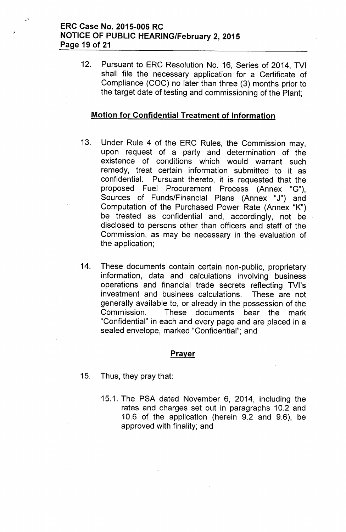# ERC Case No. 2015-006 RC NOTICE OF PUBLIC HEARING/February 2, 2015 Page 19 of 21

"

12. Pursuant to ERC Resolution No. 16, Series of 2014, TVI shall file the necessary application for a Certificate of Compliance (COC) no later than three (3) months prior to the target date of testing and commissioning of the Plant;

### Motion for Confidential Treatment of Information

- 13. Under Rule 4 of the ERC Rules, the Commission may, upon request of a party and determination of the existence of conditions which would warrant such remedy, treat certain information submitted to it as confidential. Pursuant thereto, it is requested that the proposed Fuel Procurement Process (Annex "G"), Sources of Funds/Financial Plans (Annex "J") and Computation of the Purchased Power Rate (Annex "K") be treated as confidential and, accordingly, not be disclosed to persons other than officers and staff of the Commission, as may be necessary in the evaluation of the application;
- 14. These documents contain certain non-public, proprietary information, data and calculations involving business operations and financial trade secrets reflecting TVI's investment and business calculations. These are not generally available to, or already in the possession of the Commission. These documents bear the mark "Confidential" in each and every page and are placed in a sealed envelope, marked "Confidential"; and

### **Prayer**

- 15. Thus, they pray that:
	- 15.1. The PSA dated November 6, 2014, including the rates and charges set out in paragraphs 10.2 and 10.6 of the application (herein 9.2 and 9.6), be approved with finality; and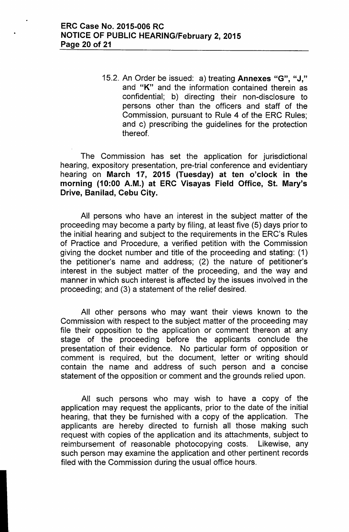15.2. An Order be issued: a) treating Annexes "G", "J," and "K" and the information contained therein as confidential; b) directing their non-disclosure to persons other than the officers and staff of the Commission, pursuant to Rule 4 of the ERC Rules; and c) prescribing the guidelines for the protection thereof.

The Commission has set the application for jurisdictional hearing, expository presentation, pre-trial conference and evidentiary hearing on March 17, 2015 (Tuesday) at ten o'clock in the morning (10:00 A.M.) at ERC Visayas Field Office, St. Mary's Drive, Banilad, Cebu City.

All persons who have an interest in the subject matter of the proceeding may become a party by filing, at least five (5) days prior to the initial hearing and subject to the requirements in the ERC's Rules of Practice and Procedure, a verified petition with the Commission giving the docket number and title of the proceeding and stating: (1) the petitioner's name and address; (2) the nature of petitioner's interest in the subject matter of the proceeding, and the way and manner in which such interest is affected by the issues involved in the proceeding; and (3) a statement of the relief desired.

All other persons who may want their views known to the Commission with respect to the subject matter of the proceeding may file their opposition to the application or comment thereon at any stage of the proceeding before the applicants conclude the presentation of their evidence. No particular form of opposition or comment is required, but the document, letter or writing should contain the name and address of such person and a concise statement of the opposition or comment and the grounds relied upon.

All such persons who may wish to have a copy of the application may request the applicants, prior to the date of the initial hearing, that they be furnished with a copy of the application. The applicants are hereby directed to furnish all those making such request with copies of the application and its attachments, subject to reimbursement of reasonable photocopying costs. Likewise, any such person may examine the application and other pertinent records filed with the Commission during the usual office hours.